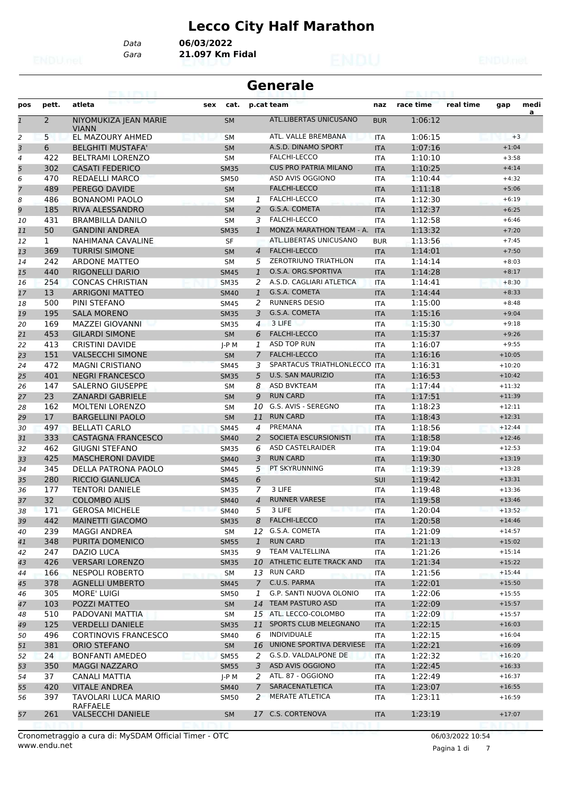# **Lecco City Half Marathon**

*Data* **06/03/2022**

*Gara* **21.097 Km Fidal**

|                |              | 69. I PY I. I                         |     |             | <b>Generale</b> |                                |            |           |           |          |           |  |
|----------------|--------------|---------------------------------------|-----|-------------|-----------------|--------------------------------|------------|-----------|-----------|----------|-----------|--|
| pos            | pett.        | atleta                                | sex | cat.        |                 | p.cat team                     | naz        | race time | real time | gap      | medi<br>a |  |
| $\mathbf{1}$   | 2            | NIYOMUKIZA JEAN MARIE<br><b>VIANN</b> |     | <b>SM</b>   |                 | ATL.LIBERTAS UNICUSANO         | <b>BUR</b> | 1:06:12   |           |          |           |  |
| 2              | 5            | EL MAZOURY AHMED                      |     | <b>SM</b>   |                 | ATL. VALLE BREMBANA            | <b>ITA</b> | 1:06:15   |           | $+3$     |           |  |
| 3              | 6            | <b>BELGHITI MUSTAFA'</b>              |     | <b>SM</b>   |                 | A.S.D. DINAMO SPORT            | <b>ITA</b> | 1:07:16   |           | $+1:04$  |           |  |
| $\overline{4}$ | 422          | <b>BELTRAMI LORENZO</b>               |     | SM          |                 | FALCHI-LECCO                   | <b>ITA</b> | 1:10:10   |           | $+3:58$  |           |  |
| 5              | 302          | <b>CASATI FEDERICO</b>                |     | <b>SM35</b> |                 | <b>CUS PRO PATRIA MILANO</b>   | <b>ITA</b> | 1:10:25   |           | $+4:14$  |           |  |
| 6              | 470          | <b>REDAELLI MARCO</b>                 |     | <b>SM50</b> |                 | ASD AVIS OGGIONO               | <b>ITA</b> | 1:10:44   |           | $+4:32$  |           |  |
| $\overline{7}$ | 489          | PEREGO DAVIDE                         |     | <b>SM</b>   |                 | <b>FALCHI-LECCO</b>            | <b>ITA</b> | 1:11:18   |           | $+5:06$  |           |  |
| 8              | 486          | <b>BONANOMI PAOLO</b>                 |     | SM          | 1               | <b>FALCHI-LECCO</b>            | <b>ITA</b> | 1:12:30   |           | $+6:19$  |           |  |
| 9              | 185          | RIVA ALESSANDRO                       |     | <b>SM</b>   | 2               | G.S.A. COMETA                  | <b>ITA</b> | 1:12:37   |           | $+6:25$  |           |  |
| 10             | 431          | <b>BRAMBILLA DANILO</b>               |     | SM          | 3               | FALCHI-LECCO                   | <b>ITA</b> | 1:12:58   |           | $+6:46$  |           |  |
| 11             | 50           | <b>GANDINI ANDREA</b>                 |     | <b>SM35</b> | 1               | MONZA MARATHON TEAM - A.       | <b>ITA</b> | 1:13:32   |           | $+7:20$  |           |  |
| 12             | $\mathbf{1}$ | NAHIMANA CAVALINE                     |     | <b>SF</b>   |                 | ATL.LIBERTAS UNICUSANO         | <b>BUR</b> | 1:13:56   |           | $+7:45$  |           |  |
| 13             | 369          | <b>TURRISI SIMONE</b>                 |     | <b>SM</b>   | 4               | <b>FALCHI-LECCO</b>            | <b>ITA</b> | 1:14:01   |           | $+7:50$  |           |  |
| 14             | 242          | <b>ARDONE MATTEO</b>                  |     | <b>SM</b>   | 5               | <b>ZEROTRIUNO TRIATHLON</b>    | <b>ITA</b> | 1:14:14   |           | $+8:03$  |           |  |
| 15             | 440          | <b>RIGONELLI DARIO</b>                |     | <b>SM45</b> | $\mathbf{1}$    | O.S.A. ORG.SPORTIVA            | <b>ITA</b> | 1:14:28   |           | $+8:17$  |           |  |
| 16             | 254          | <b>CONCAS CHRISTIAN</b>               |     | <b>SM35</b> | 2               | A.S.D. CAGLIARI ATLETICA       | ITA        | 1:14:41   |           | $+8:30$  |           |  |
| 17             | 13           | <b>ARRIGONI MATTEO</b>                |     | <b>SM40</b> | $\mathbf{1}$    | G.S.A. COMETA                  | <b>ITA</b> | 1:14:44   |           | $+8:33$  |           |  |
| 18             | 500          | PINI STEFANO                          |     | <b>SM45</b> | 2               | <b>RUNNERS DESIO</b>           | <b>ITA</b> | 1:15:00   |           | $+8:48$  |           |  |
| 19             | 195          | <b>SALA MORENO</b>                    |     | <b>SM35</b> | 3               | G.S.A. COMETA                  | <b>ITA</b> | 1:15:16   |           | $+9:04$  |           |  |
| 20             | 169          | <b>MAZZEI GIOVANNI</b>                |     | <b>SM35</b> | $\overline{4}$  | 3 LIFE                         | <b>ITA</b> | 1:15:30   |           | $+9:18$  |           |  |
| 21             | 453          | <b>GILARDI SIMONE</b>                 |     | <b>SM</b>   | 6               | <b>FALCHI-LECCO</b>            | <b>ITA</b> | 1:15:37   |           | $+9:26$  |           |  |
| 22             | 413          | <b>CRISTINI DAVIDE</b>                |     | J-P M       | 1               | <b>ASD TOP RUN</b>             | <b>ITA</b> | 1:16:07   |           | $+9:55$  |           |  |
| 23             | 151          | <b>VALSECCHI SIMONE</b>               |     | <b>SM</b>   | 7               | <b>FALCHI-LECCO</b>            | <b>ITA</b> | 1:16:16   |           | $+10:05$ |           |  |
| 24             | 472          | <b>MAGNI CRISTIANO</b>                |     | <b>SM45</b> | 3               | SPARTACUS TRIATHLONLECCO ITA   |            | 1:16:31   |           | $+10:20$ |           |  |
| 25             | 401          | <b>NEGRI FRANCESCO</b>                |     | <b>SM35</b> | 5               | <b>U.S. SAN MAURIZIO</b>       | <b>ITA</b> | 1:16:53   |           | $+10:42$ |           |  |
| 26             | 147          | <b>SALERNO GIUSEPPE</b>               |     | SM          | 8               | <b>ASD BVKTEAM</b>             | <b>ITA</b> | 1:17:44   |           | $+11:32$ |           |  |
| 27             | 23           | <b>ZANARDI GABRIELE</b>               |     | <b>SM</b>   | 9               | <b>RUN CARD</b>                | <b>ITA</b> | 1:17:51   |           | $+11:39$ |           |  |
| 28             | 162          | <b>MOLTENI LORENZO</b>                |     | SM          | 10              | G.S. AVIS - SEREGNO            | <b>ITA</b> | 1:18:23   |           | $+12:11$ |           |  |
| 29             | 17           | <b>BARGELLINI PAOLO</b>               |     | <b>SM</b>   | 11              | <b>RUN CARD</b>                | <b>ITA</b> | 1:18:43   |           | $+12:31$ |           |  |
| 30             | 497          | <b>BELLATI CARLO</b>                  |     | <b>SM45</b> | 4               | PREMANA                        | <b>ITA</b> | 1:18:56   |           | $+12:44$ |           |  |
| 31             | 333          | <b>CASTAGNA FRANCESCO</b>             |     | <b>SM40</b> | $\overline{2}$  | SOCIETA ESCURSIONISTI          | <b>ITA</b> | 1:18:58   |           | $+12:46$ |           |  |
| 32             | 462          | <b>GIUGNI STEFANO</b>                 |     | <b>SM35</b> | 6               | <b>ASD CASTELRAIDER</b>        | <b>ITA</b> | 1:19:04   |           | $+12:53$ |           |  |
| 33             | 425          | <b>MASCHERONI DAVIDE</b>              |     | <b>SM40</b> | 3               | <b>RUN CARD</b>                | <b>ITA</b> | 1:19:30   |           | $+13:19$ |           |  |
| 34             | 345          | <b>DELLA PATRONA PAOLO</b>            |     | SM45        | 5               | PT SKYRUNNING                  | <b>ITA</b> | 1:19:39   |           | $+13:28$ |           |  |
| 35             | 280          | <b>RICCIO GIANLUCA</b>                |     | <b>SM45</b> | 6               |                                | SUI        | 1:19:42   |           | $+13:31$ |           |  |
| 36             | 177          | <b>TENTORI DANIELE</b>                |     | <b>SM35</b> | 7               | 3 LIFE                         | <b>ITA</b> | 1:19:48   |           | $+13:36$ |           |  |
| 37             | 32           | <b>COLOMBO ALIS</b>                   |     | <b>SM40</b> | 4               | <b>RUNNER VARESE</b>           | <b>ITA</b> | 1:19:58   |           | $+13:46$ |           |  |
| 38             | 171          | <b>GEROSA MICHELE</b>                 |     | <b>SM40</b> | 5               | 3 LIFE                         | <b>ITA</b> | 1:20:04   |           | $+13:52$ |           |  |
| 39             | 442          | <b>MAINETTI GIACOMO</b>               |     | <b>SM35</b> | 8               | <b>FALCHI-LECCO</b>            | <b>ITA</b> | 1:20:58   |           | $+14:46$ |           |  |
| 40             | 239          | <b>MAGGI ANDREA</b>                   |     | SM          | 12              | G.S.A. COMETA                  | ITA        | 1:21:09   |           | $+14:57$ |           |  |
| 41             | 348          | PURITA DOMENICO                       |     | <b>SM55</b> | $\mathbf{1}$    | <b>RUN CARD</b>                | <b>ITA</b> | 1:21:13   |           | $+15:02$ |           |  |
| 42             | 247          | DAZIO LUCA                            |     | <b>SM35</b> | 9               | TEAM VALTELLINA                | <b>ITA</b> | 1:21:26   |           | $+15:14$ |           |  |
| 43             | 426          | <b>VERSARI LORENZO</b>                |     | <b>SM35</b> | 10              | ATHLETIC ELITE TRACK AND       | <b>ITA</b> | 1:21:34   |           | $+15:22$ |           |  |
| 44             | 166          | <b>NESPOLI ROBERTO</b>                |     | <b>SM</b>   |                 | 13 RUN CARD                    | ITA        | 1:21:56   |           | $+15:44$ |           |  |
| 45             | 378          | <b>AGNELLI UMBERTO</b>                |     | <b>SM45</b> | $7^{\circ}$     | C.U.S. PARMA                   | <b>ITA</b> | 1:22:01   |           | $+15:50$ |           |  |
| 46             | 305          | <b>MORE' LUIGI</b>                    |     | SM50        | 1               | <b>G.P. SANTI NUOVA OLONIO</b> | ITA        | 1:22:06   |           | $+15:55$ |           |  |
| 47             | 103          | POZZI MATTEO                          |     | <b>SM</b>   |                 | 14 TEAM PASTURO ASD            | <b>ITA</b> | 1:22:09   |           | $+15:57$ |           |  |
| 48             | 510          | PADOVANI MATTIA                       |     | SM          |                 | 15 ATL. LECCO-COLOMBO          | ITA        | 1:22:09   |           | $+15:57$ |           |  |
| 49             | 125          | <b>VERDELLI DANIELE</b>               |     | <b>SM35</b> | 11              | SPORTS CLUB MELEGNANO          | <b>ITA</b> | 1:22:15   |           | $+16:03$ |           |  |
| 50             | 496          | <b>CORTINOVIS FRANCESCO</b>           |     | SM40        | 6               | INDIVIDUALE                    | ITA        | 1:22:15   |           | $+16:04$ |           |  |
| 51             | 381          | ORIO STEFANO                          |     | SM          | 16              | UNIONE SPORTIVA DERVIESE       | <b>ITA</b> | 1:22:21   |           | $+16:09$ |           |  |
| 52             | 24           | BONFANTI AMEDEO                       |     | <b>SM55</b> | 2               | G.S.D. VALDALPONE DE           | ITA        | 1:22:32   |           | $+16:20$ |           |  |
| 53             | 350          | <b>MAGGI NAZZARO</b>                  |     | <b>SM55</b> | 3               | ASD AVIS OGGIONO               | <b>ITA</b> | 1:22:45   |           | $+16:33$ |           |  |
| 54             | 37           | CANALI MATTIA                         |     | J-P M       | 2               | ATL. 87 - OGGIONO              | ITA        | 1:22:49   |           | $+16:37$ |           |  |
| 55             | 420          | <b>VITALE ANDREA</b>                  |     | <b>SM40</b> | 7               | SARACENATLETICA                | <b>ITA</b> | 1:23:07   |           | $+16:55$ |           |  |
|                | 397          | TAVOLARI LUCA MARIO                   |     |             | $\overline{2}$  | <b>MERATE ATLETICA</b>         |            | 1:23:11   |           | $+16:59$ |           |  |
| 56             |              | RAFFAELE                              |     | <b>SM50</b> |                 |                                | ITA        |           |           |          |           |  |
| 57             | 261          | VALSECCHI DANIELE                     |     | <b>SM</b>   |                 | 17 C.S. CORTENOVA              | <b>ITA</b> | 1:23:19   |           | $+17:07$ |           |  |

Pagina 1 di 7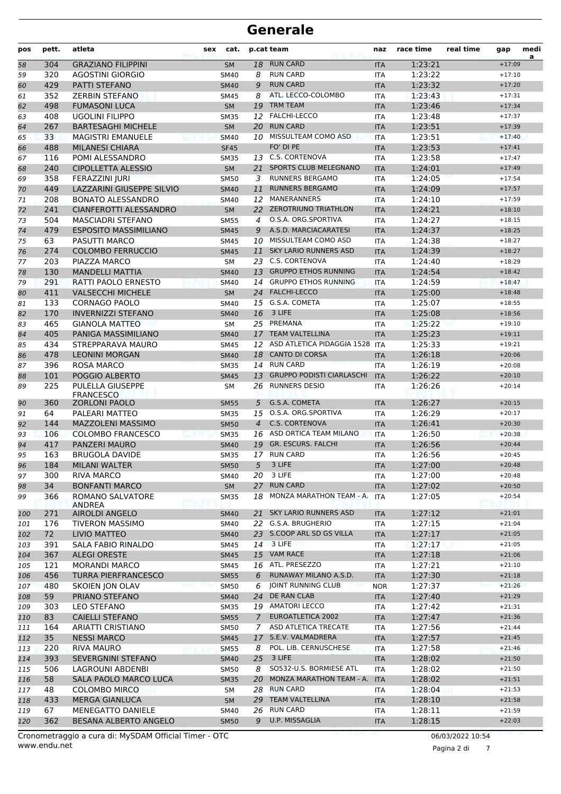| pos | pett. | atleta                               | sex | cat.        |                | p.cat team                       | naz        | race time | real time | gap      | medi<br>a |
|-----|-------|--------------------------------------|-----|-------------|----------------|----------------------------------|------------|-----------|-----------|----------|-----------|
| 58  | 304   | <b>GRAZIANO FILIPPINI</b>            |     | <b>SM</b>   |                | 18 RUN CARD                      | <b>ITA</b> | 1:23:21   |           | $+17:09$ |           |
| 59  | 320   | <b>AGOSTINI GIORGIO</b>              |     | SM40        | 8              | <b>RUN CARD</b>                  | <b>ITA</b> | 1:23:22   |           | $+17:10$ |           |
| 60  | 429   | PATTI STEFANO                        |     | <b>SM40</b> | 9              | <b>RUN CARD</b>                  | <b>ITA</b> | 1:23:32   |           | $+17:20$ |           |
| 61  | 352   | <b>ZERBIN STEFANO</b>                |     | <b>SM45</b> | 8              | ATL. LECCO-COLOMBO               | <b>ITA</b> | 1:23:43   |           | $+17:31$ |           |
| 62  | 498   | <b>FUMASONI LUCA</b>                 |     | <b>SM</b>   | 19             | <b>TRM TEAM</b><br><b>ITA</b>    |            | 1:23:46   |           | $+17:34$ |           |
| 63  | 408   | <b>UGOLINI FILIPPO</b>               |     | <b>SM35</b> |                | 12 FALCHI-LECCO                  | <b>ITA</b> | 1:23:48   |           | $+17:37$ |           |
| 64  | 267   | <b>BARTESAGHI MICHELE</b>            |     | <b>SM</b>   | 20             | <b>RUN CARD</b>                  | <b>ITA</b> | 1:23:51   |           | $+17:39$ |           |
| 65  | 33    | <b>MAGISTRI EMANUELE</b>             |     | <b>SM40</b> |                | 10 MISSULTEAM COMO ASD           | <b>ITA</b> | 1:23:51   |           | $+17:40$ |           |
| 66  | 488   | <b>MILANESI CHIARA</b>               |     | <b>SF45</b> |                | FO' DI PE                        | <b>ITA</b> | 1:23:53   |           | $+17:41$ |           |
| 67  | 116   | POMI ALESSANDRO                      |     | <b>SM35</b> | 13             | C.S. CORTENOVA                   | <b>ITA</b> | 1:23:58   |           | $+17:47$ |           |
| 68  | 240   | <b>CIPOLLETTA ALESSIO</b>            |     | <b>SM</b>   | 21             | <b>SPORTS CLUB MELEGNANO</b>     | <b>ITA</b> | 1:24:01   |           | $+17:49$ |           |
| 69  | 358   | FERAZZINI JURI                       |     | <b>SM50</b> | 3              | <b>RUNNERS BERGAMO</b>           | <b>ITA</b> | 1:24:05   |           | $+17:54$ |           |
| 70  | 449   | LAZZARINI GIUSEPPE SILVIO            |     | <b>SM40</b> | 11             | <b>RUNNERS BERGAMO</b>           | <b>ITA</b> | 1:24:09   |           | $+17:57$ |           |
| 71  | 208   | <b>BONATO ALESSANDRO</b>             |     | SM40        |                | 12 MANERANNERS                   | <b>ITA</b> | 1:24:10   |           | $+17:59$ |           |
| 72  | 241   | CIANFEROTTI ALESSANDRO               |     | <b>SM</b>   | 22             | <b>ZEROTRIUNO TRIATHLON</b>      | <b>ITA</b> | 1:24:21   |           | $+18:10$ |           |
| 73  | 504   | <b>MASCIADRI STEFANO</b>             |     | <b>SM55</b> | 4              | O.S.A. ORG.SPORTIVA              | <b>ITA</b> | 1:24:27   |           | $+18:15$ |           |
|     | 479   | <b>ESPOSITO MASSIMILIANO</b>         |     | <b>SM45</b> | 9              | A.S.D. MARCIACARATESI            | <b>ITA</b> | 1:24:37   |           | $+18:25$ |           |
| 74  |       |                                      |     |             |                | 10 MISSULTEAM COMO ASD           |            | 1:24:38   |           | $+18:27$ |           |
| 75  | 63    | PASUTTI MARCO                        |     | <b>SM45</b> |                | <b>SKY LARIO RUNNERS ASD</b>     | <b>ITA</b> |           |           | $+18:27$ |           |
| 76  | 274   | <b>COLOMBO FERRUCCIO</b>             |     | <b>SM45</b> | 11             | 23 C.S. CORTENOVA                | <b>ITA</b> | 1:24:39   |           |          |           |
| 77  | 203   | PIAZZA MARCO                         |     | <b>SM</b>   |                |                                  | <b>ITA</b> | 1:24:40   |           | $+18:29$ |           |
| 78  | 130   | <b>MANDELLI MATTIA</b>               |     | <b>SM40</b> | 13             | <b>GRUPPO ETHOS RUNNING</b>      | <b>ITA</b> | 1:24:54   |           | $+18:42$ |           |
| 79  | 291   | <b>RATTI PAOLO ERNESTO</b>           |     | <b>SM40</b> | 14             | <b>GRUPPO ETHOS RUNNING</b>      | <b>ITA</b> | 1:24:59   |           | $+18:47$ |           |
| 80  | 411   | <b>VALSECCHI MICHELE</b>             |     | <b>SM</b>   | 24             | <b>FALCHI-LECCO</b>              | <b>ITA</b> | 1:25:00   |           | $+18:48$ |           |
| 81  | 133   | <b>CORNAGO PAOLO</b>                 |     | <b>SM40</b> |                | 15 G.S.A. COMETA                 | <b>ITA</b> | 1:25:07   |           | $+18:55$ |           |
| 82  | 170   | <b>INVERNIZZI STEFANO</b>            |     | <b>SM40</b> | 16             | 3 LIFE                           | <b>ITA</b> | 1:25:08   |           | $+18:56$ |           |
| 83  | 465   | <b>GIANOLA MATTEO</b>                |     | <b>SM</b>   |                | 25 PREMANA                       | <b>ITA</b> | 1:25:22   |           | $+19:10$ |           |
| 84  | 405   | PANIGA MASSIMILIANO                  |     | <b>SM40</b> | 17             | <b>TEAM VALTELLINA</b>           | <b>ITA</b> | 1:25:23   |           | $+19:11$ |           |
| 85  | 434   | STREPPARAVA MAURO                    |     | <b>SM45</b> | 12             | ASD ATLETICA PIDAGGIA 1528       | <b>ITA</b> | 1:25:33   |           | $+19:21$ |           |
| 86  | 478   | <b>LEONINI MORGAN</b>                |     | <b>SM40</b> | 18             | <b>CANTO DI CORSA</b>            | <b>ITA</b> | 1:26:18   |           | $+20:06$ |           |
| 87  | 396   | <b>ROSA MARCO</b>                    |     | <b>SM35</b> |                | 14 RUN CARD                      | <b>ITA</b> | 1:26:19   |           | $+20:08$ |           |
| 88  | 101   | POGGIO ALBERTO                       |     | <b>SM45</b> | 13             | <b>GRUPPO PODISTI CIARLASCHI</b> | <b>ITA</b> | 1:26:22   |           | $+20:10$ |           |
| 89  | 225   | PULELLA GIUSEPPE<br><b>FRANCESCO</b> |     | <b>SM</b>   | 26             | <b>RUNNERS DESIO</b>             | <b>ITA</b> | 1:26:26   |           | $+20:14$ |           |
| 90  | 360   | <b>ZORLONI PAOLO</b>                 |     | <b>SM55</b> | 5              | G.S.A. COMETA                    | <b>ITA</b> | 1:26:27   |           | $+20:15$ |           |
| 91  | 64    | PALEARI MATTEO                       |     | <b>SM35</b> | 15             | O.S.A. ORG.SPORTIVA              | <b>ITA</b> | 1:26:29   |           | $+20:17$ |           |
| 92  | 144   | <b>MAZZOLENI MASSIMO</b>             |     | <b>SM50</b> | $\overline{4}$ | <b>C.S. CORTENOVA</b>            | <b>ITA</b> | 1:26:41   |           | $+20:30$ |           |
| 93  | 106   | <b>COLOMBO FRANCESCO</b>             |     | <b>SM35</b> |                | 16 ASD ORTICA TEAM MILANO        | <b>ITA</b> | 1:26:50   |           | $+20:38$ |           |
| 94  | 417   | <b>PANZERI MAURO</b>                 |     | <b>SM40</b> | 19             | <b>GR. ESCURS. FALCHI</b>        | <b>ITA</b> | 1:26:56   |           | $+20:44$ |           |
| 95  | 163   | <b>BRUGOLA DAVIDE</b>                |     | <b>SM35</b> |                | 17 RUN CARD                      | <b>ITA</b> | 1:26:56   |           | $+20:45$ |           |
| 96  | 184   | <b>MILANI WALTER</b>                 |     | <b>SM50</b> |                | 5 3 LIFE                         | $\sf ITA$  | 1:27:00   |           | $+20:48$ |           |
| 97  | 300   | RIVA MARCO                           |     | SM40        |                | 20 3 LIFE                        | ITA        | 1:27:00   |           | $+20:48$ |           |
| 98  | 34    | <b>BONFANTI MARCO</b>                |     | <b>SM</b>   | 27             | <b>RUN CARD</b>                  | <b>ITA</b> | 1:27:02   |           | $+20:50$ |           |
| 99  | 366   | ROMANO SALVATORE                     |     | <b>SM35</b> |                | 18 MONZA MARATHON TEAM - A. ITA  |            | 1:27:05   |           | $+20:54$ |           |
|     |       | <b>ANDREA</b>                        |     |             |                |                                  |            |           |           |          |           |
| 100 | 271   | <b>AIROLDI ANGELO</b>                |     | <b>SM40</b> |                | 21 SKY LARIO RUNNERS ASD         | <b>ITA</b> | 1:27:12   |           | $+21:01$ |           |
| 101 | 176   | <b>TIVERON MASSIMO</b>               |     | SM40        |                | 22 G.S.A. BRUGHERIO              | ITA        | 1:27:15   |           | $+21:04$ |           |
| 102 | 72    | LIVIO MATTEO                         |     | <b>SM40</b> |                | 23 S.COOP ARL SD GS VILLA        | <b>ITA</b> | 1:27:17   |           | $+21:05$ |           |
| 103 | 391   | SALA FABIO RINALDO                   |     | SM45        |                | 14 3 LIFE                        | ITA        | 1:27:17   |           | $+21:05$ |           |
| 104 | 367   | <b>ALEGI ORESTE</b>                  |     | <b>SM45</b> |                | 15 VAM RACE                      | <b>ITA</b> | 1:27:18   |           | $+21:06$ |           |
| 105 | 121   | <b>MORANDI MARCO</b>                 |     | SM45        |                | 16 ATL. PRESEZZO                 | ITA        | 1:27:21   |           | $+21:10$ |           |
| 106 | 456   | <b>TURRA PIERFRANCESCO</b>           |     | <b>SM55</b> | 6              | RUNAWAY MILANO A.S.D.            | <b>ITA</b> | 1:27:30   |           | $+21:18$ |           |
| 107 | 480   | <b>SKOIEN JON OLAV</b>               |     | <b>SM50</b> | 6              | JOINT RUNNING CLUB               | <b>NOR</b> | 1:27:37   |           | $+21:26$ |           |
| 108 | 59    | PRIANO STEFANO                       |     | <b>SM40</b> | 24             | DE RAN CLAB                      | <b>ITA</b> | 1:27:40   |           | $+21:29$ |           |
| 109 | 303   | LEO STEFANO                          |     | <b>SM35</b> |                | 19 AMATORI LECCO                 | <b>ITA</b> | 1:27:42   |           | $+21:31$ |           |
| 110 | 83    | <b>CAIELLI STEFANO</b>               |     | <b>SM55</b> | $7^{\circ}$    | EUROATLETICA 2002                | <b>ITA</b> | 1:27:47   |           | $+21:36$ |           |
| 111 | 164   | ARIATTI CRISTIANO                    |     | SM50        | 7              | ASD ATLETICA TRECATE             | ITA        | 1:27:56   |           | $+21:44$ |           |
| 112 | 35    | <b>NESSI MARCO</b>                   |     | <b>SM45</b> | 17             | S.E.V. VALMADRERA                | <b>ITA</b> | 1:27:57   |           | $+21:45$ |           |
| 113 | 220   | RIVA MAURO                           |     | <b>SM55</b> | 8              | POL. LIB. CERNUSCHESE            | ITA        | 1:27:58   |           | $+21:46$ |           |
| 114 | 393   | SEVERGNINI STEFANO                   |     | <b>SM40</b> | 25             | 3 LIFE                           | <b>ITA</b> | 1:28:02   |           | $+21:50$ |           |
| 115 | 506   | LAGROUNI ABDENBI                     |     | SM50        | 8              | SO532-U.S. BORMIESE ATL          | ITA        | 1:28:02   |           | $+21:50$ |           |
| 116 | 58    | SALA PAOLO MARCO LUCA                |     | <b>SM35</b> | 20             | MONZA MARATHON TEAM - A.         | <b>ITA</b> | 1:28:02   |           | $+21:51$ |           |
| 117 | 48    | <b>COLOMBO MIRCO</b>                 |     | SM          |                | 28 RUN CARD                      | ITA        | 1:28:04   |           | $+21:53$ |           |
| 118 | 433   | <b>MERGA GIANLUCA</b>                |     | <b>SM</b>   |                | 29 TEAM VALTELLINA               | <b>ITA</b> | 1:28:10   |           | $+21:58$ |           |
| 119 | 67    | MENEGATTO DANIELE                    |     | SM40        |                | 26 RUN CARD                      | ITA        | 1:28:11   |           | $+21:59$ |           |
| 120 | 362   | BESANA ALBERTO ANGELO                |     | <b>SM50</b> | 9              | U.P. MISSAGLIA                   | <b>ITA</b> | 1:28:15   |           | $+22:03$ |           |
|     |       |                                      |     |             |                |                                  |            |           |           |          |           |

Pagina 2 di 7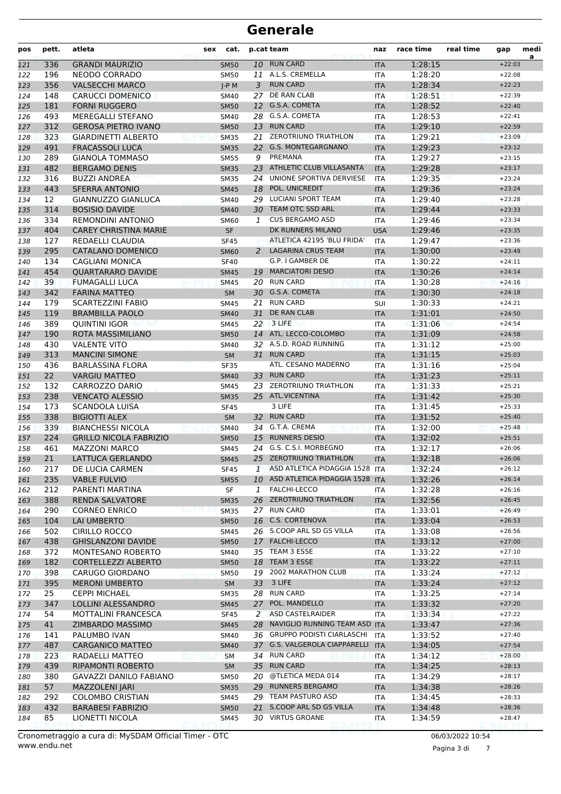| pos        | pett.                    | atleta                                            | cat.<br>p.cat team<br>sex |                            | naz          | race time                              | real time                | gap                | medi<br>a |                      |  |
|------------|--------------------------|---------------------------------------------------|---------------------------|----------------------------|--------------|----------------------------------------|--------------------------|--------------------|-----------|----------------------|--|
| 121        | 336                      | <b>GRANDI MAURIZIO</b>                            |                           | <b>SM50</b>                |              | 10 RUN CARD                            | <b>ITA</b>               | 1:28:15            |           | $+22:03$             |  |
| 122        | 196                      | NEODO CORRADO                                     |                           | <b>SM50</b>                |              | 11 A.L.S. CREMELLA                     | ITA                      | 1:28:20            |           | $+22:08$             |  |
| 123        | 356                      | <b>VALSECCHI MARCO</b>                            |                           | $J-P$ M                    | 3            | <b>RUN CARD</b>                        | <b>ITA</b>               | 1:28:34            |           | $+22:23$             |  |
| 124        | 148                      | <b>CARUCCI DOMENICO</b>                           |                           | <b>SM40</b>                | 27           | <b>DE RAN CLAB</b>                     | <b>ITA</b>               | 1:28:51            |           | $+22:39$             |  |
| 125        | 181                      | <b>FORNI RUGGERO</b>                              |                           | <b>SM50</b>                | 12           | G.S.A. COMETA                          | <b>ITA</b>               | 1:28:52            |           | $+22:40$             |  |
| 126        | 493                      | <b>MEREGALLI STEFANO</b>                          |                           | SM40                       |              | 28 G.S.A. COMETA                       | <b>ITA</b>               | 1:28:53            |           | $+22:41$             |  |
| 127        | 312                      | <b>GEROSA PIETRO IVANO</b>                        |                           | <b>SM50</b>                | 13           | <b>RUN CARD</b>                        | <b>ITA</b>               | 1:29:10            |           | $+22:59$             |  |
| 128        | 323                      | <b>GIARDINETTI ALBERTO</b>                        |                           | <b>SM35</b>                | 21           | <b>ZEROTRIUNO TRIATHLON</b>            | <b>ITA</b>               | 1:29:21            |           | $+23:09$             |  |
| 129        | 491                      | <b>FRACASSOLI LUCA</b>                            |                           | <b>SM35</b>                |              | 22 G.S. MONTEGARGNANO                  | <b>ITA</b>               | 1:29:23            |           | $+23:12$             |  |
| 130        | 289                      | <b>GIANOLA TOMMASO</b>                            |                           | <b>SM55</b>                | 9            | PREMANA                                | <b>ITA</b>               | 1:29:27            |           | $+23:15$             |  |
| 131        | 482                      | <b>BERGAMO DENIS</b>                              |                           | <b>SM35</b>                | 23           | ATHLETIC CLUB VILLASANTA               | <b>ITA</b>               | 1:29:28            |           | $+23:17$             |  |
| 132        | 316                      | <b>BUZZI ANDREA</b>                               |                           | <b>SM35</b>                | 24           | UNIONE SPORTIVA DERVIESE               | <b>ITA</b>               | 1:29:35            |           | $+23:24$             |  |
| 133        | 443                      | <b>SFERRA ANTONIO</b>                             |                           | <b>SM45</b>                | 18           | POL. UNICREDIT                         | <b>ITA</b>               | 1:29:36            |           | $+23:24$             |  |
| 134        | $12 \overline{ }$<br>314 | GIANNUZZO GIANLUCA                                |                           | SM40                       | 29           | LUCIANI SPORT TEAM<br>TEAM OTC SSD ARL | <b>ITA</b>               | 1:29:40            |           | $+23:28$             |  |
| 135        | 334                      | <b>BOSISIO DAVIDE</b><br><b>REMONDINI ANTONIO</b> |                           | <b>SM40</b>                | 30           | <b>CUS BERGAMO ASD</b>                 | <b>ITA</b>               | 1:29:44<br>1:29:46 |           | $+23:33$<br>$+23:34$ |  |
| 136        |                          | <b>CAREY CHRISTINA MARIE</b>                      |                           | <b>SM60</b>                | 1            | DK RUNNERS MILANO                      | <b>ITA</b>               |                    |           | $+23:35$             |  |
| 137        | 404<br>127               | REDAELLI CLAUDIA                                  |                           | <b>SF</b>                  |              | ATLETICA 42195 'BLU FRIDA'             | <b>USA</b><br><b>ITA</b> | 1:29:46<br>1:29:47 |           | $+23:36$             |  |
| 138        | 295                      | CATALANO DOMENICO                                 |                           | <b>SF45</b>                | 2            | <b>LAGARINA CRUS TEAM</b>              |                          | 1:30:00            |           | $+23:49$             |  |
| 139<br>140 | 134                      | <b>CAGLIANI MONICA</b>                            |                           | <b>SM60</b><br><b>SF40</b> |              | G.P. I GAMBER DE                       | <b>ITA</b><br>ITA        | 1:30:22            |           | $+24:11$             |  |
|            | 454                      | <b>QUARTARARO DAVIDE</b>                          |                           | <b>SM45</b>                | 19           | <b>MARCIATORI DESIO</b>                | <b>ITA</b>               | 1:30:26            |           | $+24:14$             |  |
| 141<br>142 | 39                       | <b>FUMAGALLI LUCA</b>                             |                           | <b>SM45</b>                | 20           | <b>RUN CARD</b>                        | <b>ITA</b>               | 1:30:28            |           | $+24:16$             |  |
| 143        | 342                      | <b>FARINA MATTEO</b>                              |                           | <b>SM</b>                  |              | 30 G.S.A. COMETA                       | <b>ITA</b>               | 1:30:30            |           | $+24:18$             |  |
| 144        | 179                      | SCARTEZZINI FABIO                                 |                           | <b>SM45</b>                | 21           | <b>RUN CARD</b>                        | SUI                      | 1:30:33            |           | $+24:21$             |  |
| 145        | 119                      | <b>BRAMBILLA PAOLO</b>                            |                           | <b>SM40</b>                | 31           | DE RAN CLAB                            | <b>ITA</b>               | 1:31:01            |           | $+24:50$             |  |
| 146        | 389                      | <b>QUINTINI IGOR</b>                              |                           | SM45                       | 22           | 3 LIFE                                 | ITA                      | 1:31:06            |           | $+24:54$             |  |
| 147        | 190                      | ROTA MASSIMILIANO                                 |                           | <b>SM50</b>                | 14           | ATL. LECCO-COLOMBO                     | <b>ITA</b>               | 1:31:09            |           | $+24:58$             |  |
| 148        | 430                      | <b>VALENTE VITO</b>                               |                           | <b>SM40</b>                |              | 32 A.S.D. ROAD RUNNING                 | <b>ITA</b>               | 1:31:12            |           | $+25:00$             |  |
| 149        | 313                      | <b>MANCINI SIMONE</b>                             |                           | <b>SM</b>                  | 31           | <b>RUN CARD</b>                        | <b>ITA</b>               | 1:31:15            |           | $+25:03$             |  |
| 150        | 436                      | <b>BARLASSINA FLORA</b>                           |                           | <b>SF35</b>                |              | ATL. CESANO MADERNO                    | <b>ITA</b>               | 1:31:16            |           | $+25:04$             |  |
| 151        | 22                       | <b>VARGIU MATTEO</b>                              |                           | <b>SM40</b>                |              | 33 RUN CARD                            | <b>ITA</b>               | 1:31:23            |           | $+25:11$             |  |
| 152        | 132                      | CARROZZO DARIO                                    |                           | SM45                       |              | 23 ZEROTRIUNO TRIATHLON                | <b>ITA</b>               | 1:31:33            |           | $+25:21$             |  |
| 153        | 238                      | <b>VENCATO ALESSIO</b>                            |                           | <b>SM35</b>                |              | 25 ATL.VICENTINA                       | <b>ITA</b>               | 1:31:42            |           | $+25:30$             |  |
| 154        | 173                      | <b>SCANDOLA LUISA</b>                             |                           | <b>SF45</b>                |              | 3 LIFE                                 | <b>ITA</b>               | 1:31:45            |           | $+25:33$             |  |
| 155        | 338                      | <b>BIGIOTTI ALEX</b>                              |                           | <b>SM</b>                  | 32           | <b>RUN CARD</b>                        | <b>ITA</b>               | 1:31:52            |           | $+25:40$             |  |
| 156        | 339                      | <b>BIANCHESSI NICOLA</b>                          |                           | <b>SM40</b>                | 34           | G.T.A. CREMA                           | <b>ITA</b>               | 1:32:00            |           | $+25:48$             |  |
| 157        | 224                      | <b>GRILLO NICOLA FABRIZIO</b>                     |                           | <b>SM50</b>                | 15           | <b>RUNNERS DESIO</b>                   | <b>ITA</b>               | 1:32:02            |           | $+25:51$             |  |
| 158        | 461                      | <b>MAZZONI MARCO</b>                              |                           | SM45                       | 24           | G.S. C.S.I. MORBEGNO                   | <b>ITA</b>               | 1:32:17            |           | $+26:06$             |  |
| 159        | 21                       | LATTUCA GERLANDO                                  |                           | <b>SM45</b>                |              | 25 ZEROTRIUNO TRIATHLON                | <b>ITA</b>               | 1:32:18            |           | $+26:06$             |  |
| 160        | 217                      | DE LUCIA CARMEN                                   |                           | <b>SF45</b>                | $\mathbf{1}$ | ASD ATLETICA PIDAGGIA 1528 ITA         |                          | 1:32:24            |           | $+26:12$             |  |
| 161        | 235                      | <b>VABLE FULVIO</b>                               |                           | <b>SM55</b>                |              | 10 ASD ATLETICA PIDAGGIA 1528 ITA      |                          | 1:32:26            |           | $+26:14$             |  |
| 162        | 212                      | PARENTI MARTINA                                   |                           | SF                         | $\mathbf{1}$ | FALCHI-LECCO                           | ITA                      | 1:32:28            |           | $+26:16$             |  |
| 163        | 388                      | RENDA SALVATORE                                   |                           | <b>SM35</b>                |              | 26 ZEROTRIUNO TRIATHLON                | <b>ITA</b>               | 1:32:56            |           | $+26:45$             |  |
| 164        | 290                      | <b>CORNEO ENRICO</b>                              |                           | <b>SM35</b>                |              | 27 RUN CARD                            | ITA                      | 1:33:01            |           | $+26:49$             |  |
| 165        | 104                      | LAI UMBERTO                                       |                           | <b>SM50</b>                |              | 16 C.S. CORTENOVA                      | <b>ITA</b>               | 1:33:04            |           | $+26:53$             |  |
| 166        | 502                      | <b>CIRILLO ROCCO</b>                              |                           | SM45                       |              | 26 S.COOP ARL SD GS VILLA              | ITA                      | 1:33:08            |           | $+26:56$             |  |
| 167        | 438                      | <b>GHISLANZONI DAVIDE</b>                         |                           | <b>SM50</b>                |              | 17 FALCHI-LECCO                        | <b>ITA</b>               | 1:33:12            |           | $+27:00$             |  |
| 168        | 372                      | MONTESANO ROBERTO                                 |                           | SM40                       |              | 35 TEAM 3 ESSE                         | ITA                      | 1:33:22            |           | $+27:10$             |  |
| 169        | 182                      | CORTELLEZZI ALBERTO                               |                           | <b>SM50</b>                | 18           | TEAM 3 ESSE                            | <b>ITA</b>               | 1:33:22            |           | $+27:11$             |  |
| 170        | 398                      | CARUGO GIORDANO                                   |                           | <b>SM50</b>                |              | 19 2002 MARATHON CLUB                  | ITA                      | 1:33:24            |           | $+27:12$             |  |
| 171        | 395                      | <b>MERONI UMBERTO</b>                             |                           | <b>SM</b>                  | 33           | 3 LIFE                                 | <b>ITA</b>               | 1:33:24            |           | $+27:12$             |  |
| 172        | 25                       | <b>CEPPI MICHAEL</b>                              |                           | <b>SM35</b>                |              | 28 RUN CARD                            | ITA                      | 1:33:25            |           | $+27:14$             |  |
| 173        | 347                      | LOLLINI ALESSANDRO                                |                           | <b>SM45</b>                | 27           | POL. MANDELLO                          | <b>ITA</b>               | 1:33:32            |           | $+27:20$             |  |
| 174        | 54                       | MOTTALINI FRANCESCA                               |                           | <b>SF45</b>                | 2            | ASD CASTELRAIDER                       | ITA                      | 1:33:34            |           | $+27:22$             |  |
| 175        | 41                       | ZIMBARDO MASSIMO                                  |                           | <b>SM45</b>                | 28           | NAVIGLIO RUNNING TEAM ASD ITA          |                          | 1:33:47            |           | $+27:36$             |  |
| 176        | 141                      | PALUMBO IVAN                                      |                           | SM40                       |              | 36 GRUPPO PODISTI CIARLASCHI           | <b>ITA</b>               | 1:33:52            |           | $+27:40$             |  |
| 177        | 487                      | <b>CARGANICO MATTEO</b>                           |                           | <b>SM40</b>                |              | 37 G.S. VALGEROLA CIAPPARELLI          | <b>ITA</b>               | 1:34:05            |           | $+27:54$             |  |
| 178        | 223                      | RADAELLI MATTEO                                   |                           | SM                         | 34           | <b>RUN CARD</b>                        | ITA                      | 1:34:12            |           | $+28:00$             |  |
| 179        | 439                      | RIPAMONTI ROBERTO                                 |                           | <b>SM</b>                  |              | 35 RUN CARD<br>@TLETICA MEDA 014       | <b>ITA</b>               | 1:34:25            |           | $+28:13$<br>$+28:17$ |  |
| 180        | 380                      | GAVAZZI DANILO FABIANO                            |                           | <b>SM50</b>                | 20<br>29     | <b>RUNNERS BERGAMO</b>                 | ITA                      | 1:34:29            |           |                      |  |
| 181        | 57<br>292                | <b>MAZZOLENI JARI</b><br><b>COLOMBO CRISTIAN</b>  |                           | <b>SM35</b>                |              | 29 TEAM PASTURO ASD                    | <b>ITA</b>               | 1:34:38            |           | $+28:26$<br>$+28:33$ |  |
| 182<br>183 | 432                      | <b>BARABESI FABRIZIO</b>                          |                           | <b>SM45</b><br><b>SM50</b> | 21           | S.COOP ARL SD GS VILLA                 | ITA                      | 1:34:45<br>1:34:48 |           | $+28:36$             |  |
|            | 85                       | LIONETTI NICOLA                                   |                           |                            |              | 30 VIRTUS GROANE                       | <b>ITA</b>               | 1:34:59            |           | $+28:47$             |  |
| 184        |                          |                                                   |                           | SM45                       |              |                                        | ITA                      |                    |           |                      |  |

Pagina 3 di 7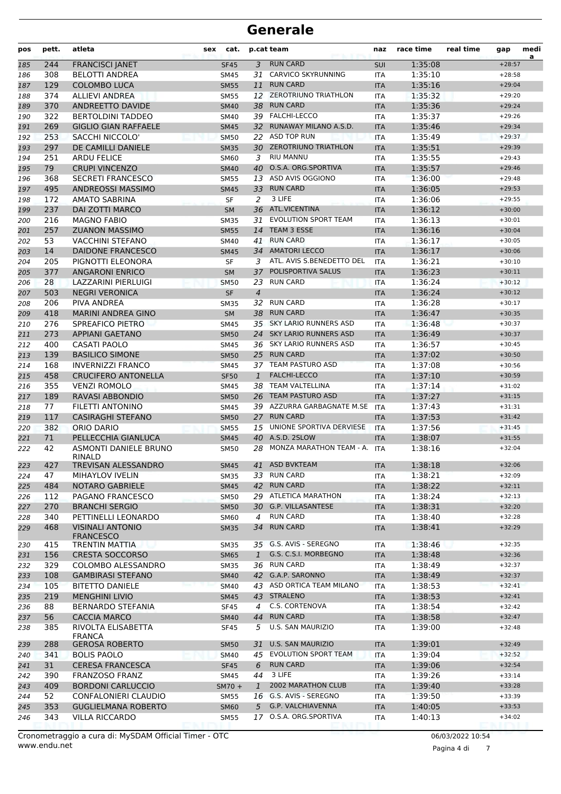| pos | pett. | atleta                                      | sex                                       | cat.        |                | p.cat team                   | naz        | race time | real time | gap      | medi<br>a |
|-----|-------|---------------------------------------------|-------------------------------------------|-------------|----------------|------------------------------|------------|-----------|-----------|----------|-----------|
| 185 | 244   | <b>FRANCISCI JANET</b>                      |                                           | <b>SF45</b> | 3              | <b>RUN CARD</b>              | <b>SUI</b> | 1:35:08   |           | $+28:57$ |           |
| 186 | 308   | <b>BELOTTI ANDREA</b>                       |                                           | <b>SM45</b> | 31             | CARVICO SKYRUNNING           | <b>ITA</b> | 1:35:10   |           | $+28:58$ |           |
| 187 | 129   | <b>COLOMBO LUCA</b>                         |                                           | <b>SM55</b> | 11             | <b>RUN CARD</b>              | <b>ITA</b> | 1:35:16   |           | $+29:04$ |           |
| 188 | 374   | <b>ALLIEVI ANDREA</b>                       | <b>ZEROTRIUNO TRIATHLON</b><br>SM55<br>12 |             | <b>ITA</b>     | 1:35:32                      |            | $+29:20$  |           |          |           |
| 189 | 370   | ANDREETTO DAVIDE                            | <b>RUN CARD</b><br><b>SM40</b><br>38      |             | <b>ITA</b>     | 1:35:36                      |            | $+29:24$  |           |          |           |
| 190 | 322   | <b>BERTOLDINI TADDEO</b>                    | 39 FALCHI-LECCO<br>SM40                   |             | <b>ITA</b>     | 1:35:37                      |            | $+29:26$  |           |          |           |
| 191 | 269   | <b>GIGLIO GIAN RAFFAELE</b>                 |                                           | <b>SM45</b> | 32             | RUNAWAY MILANO A.S.D.        | <b>ITA</b> | 1:35:46   |           | $+29:34$ |           |
| 192 | 253   | <b>SACCHI NICCOLO'</b>                      |                                           | <b>SM50</b> |                | 22 ASD TOP RUN               | <b>ITA</b> | 1:35:49   |           | $+29:37$ |           |
| 193 | 297   | DE CAMILLI DANIELE                          |                                           | <b>SM35</b> |                | 30 ZEROTRIUNO TRIATHLON      | <b>ITA</b> | 1:35:51   |           | $+29:39$ |           |
| 194 | 251   | <b>ARDU FELICE</b>                          |                                           | <b>SM60</b> | 3              | <b>RIU MANNU</b>             | <b>ITA</b> | 1:35:55   |           | $+29:43$ |           |
| 195 | 79    | <b>CRUPI VINCENZO</b>                       |                                           | <b>SM40</b> | 40             | O.S.A. ORG.SPORTIVA          | <b>ITA</b> | 1:35:57   |           | $+29:46$ |           |
| 196 | 368   | <b>SECRETI FRANCESCO</b>                    |                                           | <b>SM55</b> |                | 13 ASD AVIS OGGIONO          | <b>ITA</b> | 1:36:00   |           | $+29:48$ |           |
| 197 | 495   | ANDREOSSI MASSIMO                           |                                           | <b>SM45</b> | 33             | <b>RUN CARD</b>              | <b>ITA</b> | 1:36:05   |           | $+29:53$ |           |
| 198 | 172   | AMATO SABRINA                               |                                           | <b>SF</b>   | 2              | 3 LIFE                       | <b>ITA</b> | 1:36:06   |           | $+29:55$ |           |
| 199 | 237   | DAI ZOTTI MARCO                             |                                           | <b>SM</b>   |                | 36 ATL.VICENTINA             | <b>ITA</b> | 1:36:12   |           | $+30:00$ |           |
| 200 | 216   | <b>MAGNO FABIO</b>                          |                                           | <b>SM35</b> | 31             | <b>EVOLUTION SPORT TEAM</b>  | <b>ITA</b> | 1:36:13   |           | $+30:01$ |           |
| 201 | 257   | <b>ZUANON MASSIMO</b>                       |                                           | <b>SM55</b> | 14             | TEAM 3 ESSE                  | <b>ITA</b> | 1:36:16   |           | $+30:04$ |           |
| 202 | 53    | <b>VACCHINI STEFANO</b>                     |                                           | SM40        | 41             | <b>RUN CARD</b>              | <b>ITA</b> | 1:36:17   |           | $+30:05$ |           |
| 203 | 14    | <b>DAIDONE FRANCESCO</b>                    |                                           | <b>SM45</b> | 34             | <b>AMATORI LECCO</b>         | <b>ITA</b> | 1:36:17   |           | $+30:06$ |           |
| 204 | 205   | PIGNOTTI ELEONORA                           |                                           | <b>SF</b>   | 3              | ATL. AVIS S.BENEDETTO DEL    | <b>ITA</b> | 1:36:21   |           | $+30:10$ |           |
| 205 | 377   | <b>ANGARONI ENRICO</b>                      |                                           | <b>SM</b>   | 37             | POLISPORTIVA SALUS           | <b>ITA</b> | 1:36:23   |           | $+30:11$ |           |
| 206 | 28    | <b>LAZZARINI PIERLUIGI</b>                  |                                           | <b>SM50</b> | 23             | <b>RUN CARD</b>              | <b>ITA</b> | 1:36:24   |           | $+30:12$ |           |
| 207 | 503   | <b>NEGRI VERONICA</b>                       |                                           | <b>SF</b>   | $\overline{4}$ |                              | <b>ITA</b> | 1:36:24   |           | $+30:12$ |           |
| 208 | 206   | PIVA ANDREA                                 |                                           | <b>SM35</b> | 32             | <b>RUN CARD</b>              | <b>ITA</b> | 1:36:28   |           | $+30:17$ |           |
| 209 | 418   | <b>MARINI ANDREA GINO</b>                   |                                           | <b>SM</b>   | 38             | <b>RUN CARD</b>              | <b>ITA</b> | 1:36:47   |           | $+30:35$ |           |
| 210 | 276   | SPREAFICO PIETRO                            |                                           | <b>SM45</b> |                | 35 SKY LARIO RUNNERS ASD     | <b>ITA</b> | 1:36:48   |           | $+30:37$ |           |
| 211 | 273   | <b>APPIANI GAETANO</b>                      |                                           | <b>SM50</b> | 24             | <b>SKY LARIO RUNNERS ASD</b> | <b>ITA</b> | 1:36:49   |           | $+30:37$ |           |
| 212 | 400   | <b>CASATI PAOLO</b>                         |                                           | <b>SM45</b> |                | 36 SKY LARIO RUNNERS ASD     | <b>ITA</b> | 1:36:57   |           | $+30:45$ |           |
| 213 | 139   | <b>BASILICO SIMONE</b>                      |                                           | <b>SM50</b> | 25             | <b>RUN CARD</b>              | <b>ITA</b> | 1:37:02   |           | $+30:50$ |           |
| 214 | 168   | <b>INVERNIZZI FRANCO</b>                    |                                           | <b>SM45</b> |                | 37 TEAM PASTURO ASD          | <b>ITA</b> | 1:37:08   |           | $+30:56$ |           |
| 215 | 458   | <b>CRUCIFERO ANTONELLA</b>                  |                                           | <b>SF50</b> | 1              | <b>FALCHI-LECCO</b>          | <b>ITA</b> | 1:37:10   |           | $+30:59$ |           |
| 216 | 355   | <b>VENZI ROMOLO</b>                         |                                           | <b>SM45</b> | 38             | <b>TEAM VALTELLINA</b>       | <b>ITA</b> | 1:37:14   |           | $+31:02$ |           |
| 217 | 189   | RAVASI ABBONDIO                             |                                           | <b>SM50</b> | 26             | <b>TEAM PASTURO ASD</b>      | <b>ITA</b> | 1:37:27   |           | $+31:15$ |           |
| 218 | 77    | <b>FILETTI ANTONINO</b>                     |                                           | <b>SM45</b> |                | 39 AZZURRA GARBAGNATE M.SE   | <b>ITA</b> | 1:37:43   |           | $+31:31$ |           |
| 219 | 117   | <b>CASIRAGHI STEFANO</b>                    |                                           | <b>SM50</b> | 27             | <b>RUN CARD</b>              | <b>ITA</b> | 1:37:53   |           | $+31:42$ |           |
| 220 | 382   | <b>ORIO DARIO</b>                           |                                           | <b>SM55</b> | 15             | UNIONE SPORTIVA DERVIESE     | <b>ITA</b> | 1:37:56   |           | $+31:45$ |           |
| 221 | 71    | PELLECCHIA GIANLUCA                         |                                           | <b>SM45</b> | 40             | A.S.D. 2SLOW                 | <b>ITA</b> | 1:38:07   |           | $+31:55$ |           |
| 222 | 42    | <b>ASMONTI DANIELE BRUNO</b><br>RINALD      |                                           | SM50        | 28             | MONZA MARATHON TEAM - A.     | <b>ITA</b> | 1:38:16   |           | $+32:04$ |           |
| 223 | 427   | TREVISAN ALESSANDRO                         |                                           | SM45        |                | 41 ASD BVKTEAM               | IIA.       | 1:38:18   |           | $+32:06$ |           |
| 224 | 47    | MIHAYLOV IVELIN                             |                                           | <b>SM35</b> |                | 33 RUN CARD                  | ITA        | 1:38:21   |           | $+32:09$ |           |
| 225 | 484   | <b>NOTARO GABRIELE</b>                      |                                           | <b>SM45</b> |                | 42 RUN CARD                  | <b>ITA</b> | 1:38:22   |           | $+32:11$ |           |
| 226 | 112   | PAGANO FRANCESCO                            |                                           | SM50        |                | 29 ATLETICA MARATHON         | ITA        | 1:38:24   |           | $+32:13$ |           |
| 227 | 270   | <b>BRANCHI SERGIO</b>                       |                                           | <b>SM50</b> |                | 30 G.P. VILLASANTESE         | <b>ITA</b> | 1:38:31   |           | $+32:20$ |           |
| 228 | 340   | PETTINELLI LEONARDO                         |                                           | SM60        | $\overline{4}$ | <b>RUN CARD</b>              | ITA        | 1:38:40   |           | $+32:28$ |           |
| 229 | 468   | <b>VISINALI ANTONIO</b><br><b>FRANCESCO</b> |                                           | <b>SM35</b> |                | 34 RUN CARD                  | <b>ITA</b> | 1:38:41   |           | $+32:29$ |           |
| 230 | 415   | <b>TRENTIN MATTIA</b>                       |                                           | <b>SM35</b> |                | 35 G.S. AVIS - SEREGNO       | ITA        | 1:38:46   |           | $+32:35$ |           |
| 231 | 156   | <b>CRESTA SOCCORSO</b>                      |                                           | <b>SM65</b> | $\mathbf{1}$   | G.S. C.S.I. MORBEGNO         | <b>ITA</b> | 1:38:48   |           | $+32:36$ |           |
| 232 | 329   | COLOMBO ALESSANDRO                          |                                           | SM35        |                | 36 RUN CARD                  | ITA        | 1:38:49   |           | $+32:37$ |           |
| 233 | 108   | <b>GAMBIRASI STEFANO</b>                    |                                           | <b>SM40</b> |                | 42 G.A.P. SARONNO            | <b>ITA</b> | 1:38:49   |           | $+32:37$ |           |
| 234 | 105   | <b>BITETTO DANIELE</b>                      |                                           | <b>SM40</b> |                | 43 ASD ORTICA TEAM MILANO    | ITA        | 1:38:53   |           | $+32:41$ |           |
| 235 | 219   | <b>MENGHINI LIVIO</b>                       |                                           | <b>SM45</b> |                | 43 STRALENO                  | <b>ITA</b> | 1:38:53   |           | $+32:41$ |           |
| 236 | 88    | <b>BERNARDO STEFANIA</b>                    |                                           | <b>SF45</b> | $\overline{4}$ | C.S. CORTENOVA               | <b>ITA</b> | 1:38:54   |           | $+32:42$ |           |
| 237 | 56    | <b>CACCIA MARCO</b>                         |                                           | <b>SM40</b> | 44             | <b>RUN CARD</b>              | <b>ITA</b> | 1:38:58   |           | $+32:47$ |           |
| 238 | 385   | RIVOLTA ELISABETTA<br><b>FRANCA</b>         |                                           | <b>SF45</b> | 5              | <b>U.S. SAN MAURIZIO</b>     | ITA        | 1:39:00   |           | $+32:48$ |           |
| 239 | 288   | <b>GEROSA ROBERTO</b>                       |                                           | <b>SM50</b> | 31             | <b>U.S. SAN MAURIZIO</b>     | <b>ITA</b> | 1:39:01   |           | $+32:49$ |           |
| 240 | 341   | <b>BOLIS PAOLO</b>                          |                                           | <b>SM40</b> | 45             | <b>EVOLUTION SPORT TEAM</b>  | ITA        | 1:39:04   |           | $+32:52$ |           |
| 241 | 31    | <b>CERESA FRANCESCA</b>                     |                                           | <b>SF45</b> | 6              | <b>RUN CARD</b>              | <b>ITA</b> | 1:39:06   |           | $+32:54$ |           |
| 242 | 390   | <b>FRANZOSO FRANZ</b>                       |                                           | SM45        | 44             | 3 LIFE                       | ITA        | 1:39:26   |           | $+33:14$ |           |
| 243 | 409   | <b>BORDONI CARLUCCIO</b>                    |                                           | $SM70 +$    | $\mathbf{1}$   | <b>2002 MARATHON CLUB</b>    | <b>ITA</b> | 1:39:40   |           | $+33:28$ |           |
| 244 | 52    | CONFALONIERI CLAUDIO                        |                                           | SM55        |                | 16 G.S. AVIS - SEREGNO       | ITA        | 1:39:50   |           | $+33:39$ |           |
| 245 | 353   | <b>GUGLIELMANA ROBERTO</b>                  |                                           | <b>SM60</b> | 5              | G.P. VALCHIAVENNA            | <b>ITA</b> | 1:40:05   |           | $+33:53$ |           |
| 246 | 343   | <b>VILLA RICCARDO</b>                       |                                           | SM55        | 17             | O.S.A. ORG.SPORTIVA          | ITA        | 1:40:13   |           | $+34:02$ |           |

Pagina 4 di 7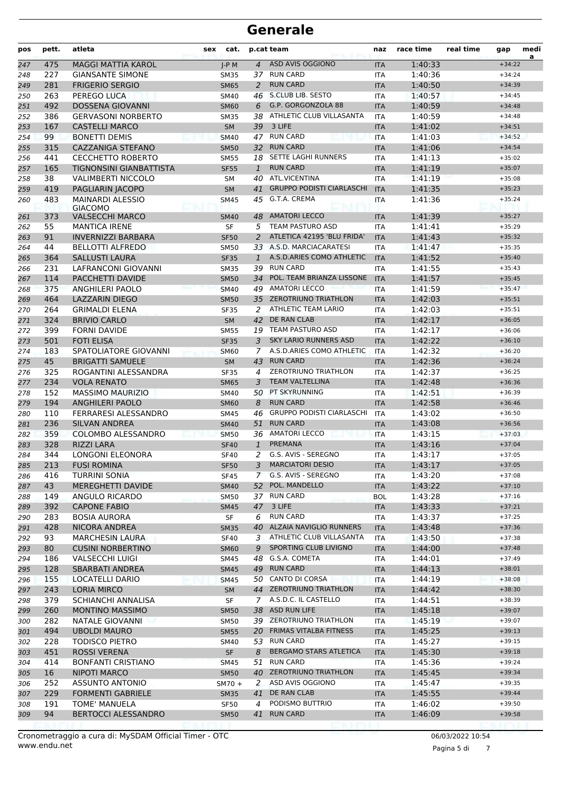| pos        | pett. | atleta                                   | sex                                    | cat.        |                                | p.cat team<br>naz                |            | race time | real time | gap      | medi<br>a |
|------------|-------|------------------------------------------|----------------------------------------|-------------|--------------------------------|----------------------------------|------------|-----------|-----------|----------|-----------|
| 247        | 475   | <b>MAGGI MATTIA KAROL</b>                |                                        | $J-P$ M     | $\overline{4}$                 | ASD AVIS OGGIONO                 | <b>ITA</b> | 1:40:33   |           | $+34:22$ |           |
| 248        | 227   | <b>GIANSANTE SIMONE</b>                  |                                        | <b>SM35</b> | 37                             | <b>RUN CARD</b>                  | <b>ITA</b> | 1:40:36   |           | $+34:24$ |           |
| 249        | 281   | <b>FRIGERIO SERGIO</b>                   |                                        | <b>SM65</b> | 2                              | <b>RUN CARD</b>                  | <b>ITA</b> | 1:40:50   |           | $+34:39$ |           |
| 250        | 263   | PEREGO LUCA                              |                                        | <b>SM40</b> | 46                             | <b>S.CLUB LIB. SESTO</b>         | <b>ITA</b> | 1:40:57   |           | $+34:45$ |           |
| 251        | 492   | <b>DOSSENA GIOVANNI</b>                  | G.P. GORGONZOLA 88<br><b>SM60</b><br>6 |             | <b>ITA</b>                     | 1:40:59                          |            | $+34:48$  |           |          |           |
| 252        | 386   | <b>GERVASONI NORBERTO</b>                |                                        | <b>SM35</b> | ATHLETIC CLUB VILLASANTA<br>38 |                                  | <b>ITA</b> | 1:40:59   |           | $+34:48$ |           |
| 253        | 167   | <b>CASTELLI MARCO</b>                    |                                        | <b>SM</b>   | 39                             | 3 LIFE                           | <b>ITA</b> | 1:41:02   |           | $+34:51$ |           |
| 254        | 99    | <b>BONETTI DEMIS</b>                     |                                        | <b>SM40</b> | 47                             | <b>RUN CARD</b>                  | <b>ITA</b> | 1:41:03   |           | $+34:52$ |           |
| 255        | 315   | <b>CAZZANIGA STEFANO</b>                 |                                        | <b>SM50</b> | 32                             | <b>RUN CARD</b>                  | <b>ITA</b> | 1:41:06   |           | $+34:54$ |           |
| 256        | 441   | <b>CECCHETTO ROBERTO</b>                 |                                        | <b>SM55</b> | 18                             | SETTE LAGHI RUNNERS              | <b>ITA</b> | 1:41:13   |           | $+35:02$ |           |
| 257        | 165   | TIGNONSINI GIANBATTISTA                  |                                        | <b>SF55</b> | $\mathbf{1}$                   | <b>RUN CARD</b>                  | <b>ITA</b> | 1:41:19   |           | $+35:07$ |           |
| 258        | 38    | <b>VALIMBERTI NICCOLO</b>                |                                        | <b>SM</b>   | 40                             | <b>ATL.VICENTINA</b>             | <b>ITA</b> | 1:41:19   |           | $+35:08$ |           |
| 259        | 419   | PAGLIARIN JACOPO                         |                                        | <b>SM</b>   | 41                             | <b>GRUPPO PODISTI CIARLASCHI</b> | <b>ITA</b> | 1:41:35   |           | $+35:23$ |           |
| 260        | 483   | <b>MAINARDI ALESSIO</b>                  |                                        | <b>SM45</b> | 45                             | G.T.A. CREMA                     | ITA        | 1:41:36   |           | $+35:24$ |           |
|            | 373   | <b>GIACOMO</b><br><b>VALSECCHI MARCO</b> |                                        | <b>SM40</b> | 48                             | <b>AMATORI LECCO</b>             | <b>ITA</b> | 1:41:39   |           | $+35:27$ |           |
| 261<br>262 | 55    | <b>MANTICA IRENE</b>                     |                                        | <b>SF</b>   | 5                              | <b>TEAM PASTURO ASD</b>          | <b>ITA</b> | 1:41:41   |           | $+35:29$ |           |
| 263        | 91    | <b>INVERNIZZI BARBARA</b>                |                                        | <b>SF50</b> | 2                              | ATLETICA 42195 'BLU FRIDA'       | <b>ITA</b> | 1:41:43   |           | $+35:32$ |           |
| 264        | 44    | <b>BELLOTTI ALFREDO</b>                  |                                        | <b>SM50</b> |                                | 33 A.S.D. MARCIACARATESI         | <b>ITA</b> | 1:41:47   |           | $+35:35$ |           |
| 265        | 364   | <b>SALLUSTI LAURA</b>                    |                                        | <b>SF35</b> | $\mathbf{1}$                   | A.S.D.ARIES COMO ATHLETIC        | <b>ITA</b> | 1:41:52   |           | $+35:40$ |           |
| 266        | 231   | LAFRANCONI GIOVANNI                      |                                        | <b>SM35</b> | 39                             | <b>RUN CARD</b>                  | <b>ITA</b> | 1:41:55   |           | $+35:43$ |           |
| 267        | 114   | PACCHETTI DAVIDE                         |                                        | <b>SM50</b> | 34                             | POL. TEAM BRIANZA LISSONE        | <b>ITA</b> | 1:41:57   |           | $+35:45$ |           |
| 268        | 375   | <b>ANGHILERI PAOLO</b>                   |                                        | <b>SM40</b> | 49                             | <b>AMATORI LECCO</b>             | <b>ITA</b> | 1:41:59   |           | $+35:47$ |           |
| 269        | 464   | <b>LAZZARIN DIEGO</b>                    |                                        | <b>SM50</b> | 35                             | <b>ZEROTRIUNO TRIATHLON</b>      | <b>ITA</b> | 1:42:03   |           | $+35:51$ |           |
| 270        | 264   | <b>GRIMALDI ELENA</b>                    |                                        | <b>SF35</b> | 2                              | ATHLETIC TEAM LARIO              | <b>ITA</b> | 1:42:03   |           | $+35:51$ |           |
| 271        | 324   | <b>BRIVIO CARLO</b>                      |                                        | <b>SM</b>   | 42                             | DE RAN CLAB                      | <b>ITA</b> | 1:42:17   |           | $+36:05$ |           |
| 272        | 399   | <b>FORNI DAVIDE</b>                      |                                        | <b>SM55</b> |                                | 19 TEAM PASTURO ASD              | <b>ITA</b> | 1:42:17   |           | $+36:06$ |           |
| 273        | 501   | <b>FOTI ELISA</b>                        |                                        | <b>SF35</b> | 3                              | <b>SKY LARIO RUNNERS ASD</b>     | <b>ITA</b> | 1:42:22   |           | $+36:10$ |           |
| 274        | 183   | SPATOLIATORE GIOVANNI                    |                                        | <b>SM60</b> | 7                              | A.S.D.ARIES COMO ATHLETIC        | <b>ITA</b> | 1:42:32   |           | $+36:20$ |           |
| 275        | 45    | <b>BRIGATTI SAMUELE</b>                  |                                        | <b>SM</b>   | 43                             | <b>RUN CARD</b>                  | <b>ITA</b> | 1:42:36   |           | $+36:24$ |           |
| 276        | 325   | ROGANTINI ALESSANDRA                     |                                        | <b>SF35</b> | 4                              | <b>ZEROTRIUNO TRIATHLON</b>      | <b>ITA</b> | 1:42:37   |           | $+36:25$ |           |
| 277        | 234   | <b>VOLA RENATO</b>                       |                                        | <b>SM65</b> | 3                              | <b>TEAM VALTELLINA</b>           | <b>ITA</b> | 1:42:48   |           | $+36:36$ |           |
| 278        | 152   | <b>MASSIMO MAURIZIO</b>                  |                                        | <b>SM40</b> | 50                             | PT SKYRUNNING                    | <b>ITA</b> | 1:42:51   |           | $+36:39$ |           |
| 279        | 194   | <b>ANGHILERI PAOLO</b>                   |                                        | <b>SM60</b> | 8                              | <b>RUN CARD</b>                  | <b>ITA</b> | 1:42:58   |           | $+36:46$ |           |
| 280        | 110   | FERRARESI ALESSANDRO                     |                                        | <b>SM45</b> | 46                             | <b>GRUPPO PODISTI CIARLASCHI</b> | <b>ITA</b> | 1:43:02   |           | $+36:50$ |           |
| 281        | 236   | <b>SILVAN ANDREA</b>                     |                                        | <b>SM40</b> | 51                             | <b>RUN CARD</b>                  | <b>ITA</b> | 1:43:08   |           | $+36:56$ |           |
| 282        | 359   | COLOMBO ALESSANDRO                       |                                        | <b>SM50</b> |                                | 36 AMATORI LECCO                 | <b>ITA</b> | 1:43:15   |           | $+37:03$ |           |
| 283        | 328   | <b>RIZZI LARA</b>                        |                                        | <b>SF40</b> | $\mathbf{1}$                   | <b>PREMANA</b>                   | <b>ITA</b> | 1:43:16   |           | $+37:04$ |           |
| 284        | 344   | <b>LONGONI ELEONORA</b>                  |                                        | <b>SF40</b> | 2                              | G.S. AVIS - SEREGNO              | <b>ITA</b> | 1:43:17   |           | $+37:05$ |           |
| 285        | 213   | <b>FUSI ROMINA</b>                       |                                        | <b>SF50</b> |                                | 3 MARCIATORI DESIO               | <b>ITA</b> | 1:43:17   |           | $+37:05$ |           |
| 286        | 416   | <b>TURRINI SONIA</b>                     |                                        | <b>SF45</b> |                                | 7 G.S. AVIS - SEREGNO            | ITA        | 1:43:20   |           | $+37:08$ |           |
| 287        | 43    | MEREGHETTI DAVIDE                        |                                        | <b>SM40</b> | 52                             | POL. MANDELLO                    | <b>ITA</b> | 1:43:22   |           | $+37:10$ |           |
| 288        | 149   | ANGULO RICARDO                           |                                        | <b>SM50</b> |                                | 37 RUN CARD                      | BOL        | 1:43:28   |           | $+37:16$ |           |
| 289        | 392   | <b>CAPONE FABIO</b>                      |                                        | <b>SM45</b> |                                | 47 3 LIFE                        | <b>ITA</b> | 1:43:33   |           | $+37:21$ |           |
| 290        | 283   | <b>BOSIA AURORA</b>                      |                                        | SF          | 6                              | <b>RUN CARD</b>                  | ITA        | 1:43:37   |           | $+37:25$ |           |
| 291        | 428   | NICORA ANDREA                            |                                        | <b>SM35</b> |                                | 40 ALZAIA NAVIGLIO RUNNERS       | <b>ITA</b> | 1:43:48   |           | $+37:36$ |           |
| 292        | 93    | <b>MARCHESIN LAURA</b>                   |                                        | <b>SF40</b> | 3                              | ATHLETIC CLUB VILLASANTA         | ITA        | 1:43:50   |           | $+37:38$ |           |
| 293        | 80    | <b>CUSINI NORBERTINO</b>                 |                                        | <b>SM60</b> | 9                              | SPORTING CLUB LIVIGNO            | <b>ITA</b> | 1:44:00   |           | $+37:48$ |           |
| 294        | 186   | <b>VALSECCHI LUIGI</b>                   |                                        | SM45        | 48                             | G.S.A. COMETA                    | ITA        | 1:44:01   |           | $+37:49$ |           |
| 295        | 128   | <b>SBARBATI ANDREA</b>                   |                                        | <b>SM45</b> |                                | 49 RUN CARD                      | <b>ITA</b> | 1:44:13   |           | $+38:01$ |           |
| 296        | 155   | <b>LOCATELLI DARIO</b>                   |                                        | SM45        |                                | 50 CANTO DI CORSA                | ITA        | 1:44:19   |           | $+38:08$ |           |
| 297        | 243   | <b>LORIA MIRCO</b>                       |                                        | <b>SM</b>   |                                | 44 ZEROTRIUNO TRIATHLON          | <b>ITA</b> | 1:44:42   |           | $+38:30$ |           |
| 298        | 379   | SCHIANCHI ANNALISA                       |                                        | SF          |                                | 7 A.S.D.C. IL CASTELLO           | ITA        | 1:44:51   |           | $+38:39$ |           |
| 299        | 260   | <b>MONTINO MASSIMO</b>                   |                                        | <b>SM50</b> |                                | 38 ASD RUN LIFE                  | <b>ITA</b> | 1:45:18   |           | $+39:07$ |           |
| 300        | 282   | NATALE GIOVANNI                          |                                        | <b>SM50</b> |                                | 39 ZEROTRIUNO TRIATHLON          | ITA        | 1:45:19   |           | $+39:07$ |           |
| 301        | 494   | <b>UBOLDI MAURO</b>                      |                                        | <b>SM55</b> |                                | 20 FRIMAS VITALBA FITNESS        | <b>ITA</b> | 1:45:25   |           | $+39:13$ |           |
| 302        | 228   | <b>TODISCO PIETRO</b>                    |                                        | SM40        |                                | 53 RUN CARD                      | ITA        | 1:45:27   |           | $+39:15$ |           |
| 303        | 451   | <b>ROSSI VERENA</b>                      |                                        | SF          | 8                              | BERGAMO STARS ATLETICA           | <b>ITA</b> | 1:45:30   |           | $+39:18$ |           |
| 304        | 414   | <b>BONFANTI CRISTIANO</b>                |                                        | SM45        | 51                             | <b>RUN CARD</b>                  | <b>ITA</b> | 1:45:36   |           | $+39:24$ |           |
| 305        | 16    | <b>NIPOTI MARCO</b>                      |                                        | <b>SM50</b> |                                | 40 ZEROTRIUNO TRIATHLON          | <b>ITA</b> | 1:45:45   |           | $+39:34$ |           |
| 306        | 252   | ASSUNTO ANTONIO                          |                                        | $SM70 +$    | 2                              | ASD AVIS OGGIONO                 | ITA        | 1:45:47   |           | $+39:35$ |           |
| 307        | 229   | <b>FORMENTI GABRIELE</b>                 |                                        | <b>SM35</b> | 41                             | DE RAN CLAB                      | <b>ITA</b> | 1:45:55   |           | $+39:44$ |           |
| 308        | 191   | TOME' MANUELA                            |                                        | SF50        | 4                              | PODISMO BUTTRIO                  | ITA        | 1:46:02   |           | $+39:50$ |           |
| 309        | 94    | <b>BERTOCCI ALESSANDRO</b>               |                                        | <b>SM50</b> |                                | 41 RUN CARD                      | <b>ITA</b> | 1:46:09   |           | $+39:58$ |           |
|            |       |                                          |                                        |             |                                |                                  |            |           |           |          |           |

Pagina 5 di 7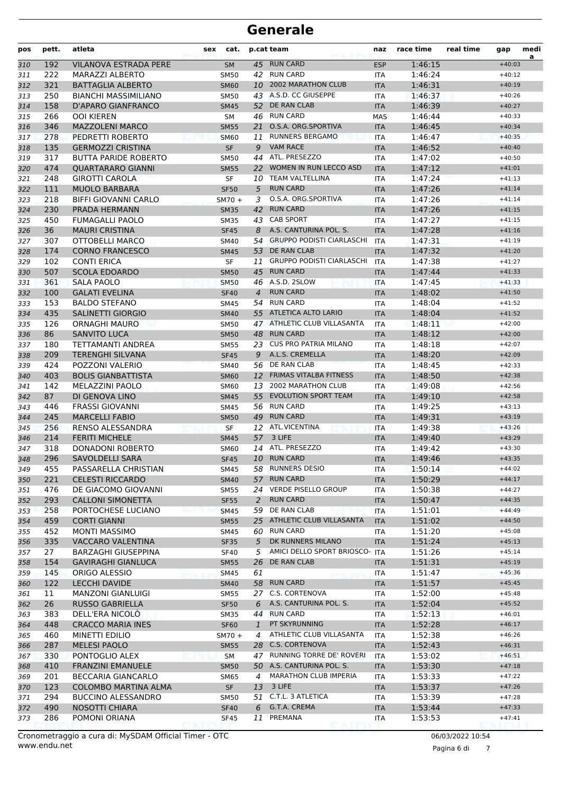| pos        | pett.      | atleta                                         | <b>sex</b> | cat.                       | p.cat team     |                                           | naz                      | race time          | real time | gap                  | medi<br>a |
|------------|------------|------------------------------------------------|------------|----------------------------|----------------|-------------------------------------------|--------------------------|--------------------|-----------|----------------------|-----------|
| 310        | 192        | VILANOVA ESTRADA PERE                          |            | <b>SM</b>                  |                | 45 RUN CARD                               | <b>ESP</b>               | 1:46:15            |           | $+40:03$             |           |
| 311        | 222        | <b>MARAZZI ALBERTO</b>                         |            | <b>SM50</b>                |                | 42 RUN CARD                               | <b>ITA</b>               | 1:46:24            |           | $+40:12$             |           |
| 312        | 321        | <b>BATTAGLIA ALBERTO</b>                       |            | <b>SM60</b>                | 10             | <b>2002 MARATHON CLUB</b>                 | <b>ITA</b>               | 1:46:31            |           | $+40:19$             |           |
| 313        | 250        | <b>BIANCHI MASSIMILIANO</b>                    |            | <b>SM50</b>                |                | 43 A.S.D. CC GIUSEPPE                     | <b>ITA</b>               | 1:46:37            |           | $+40:26$             |           |
| 314        | 158        | D'APARO GIANFRANCO                             |            | <b>SM45</b>                |                | 52 DE RAN CLAB                            | <b>ITA</b>               | 1:46:39            |           | $+40:27$             |           |
| 315        | 266        | <b>OOI KIEREN</b>                              |            | SM                         |                | 46 RUN CARD                               | <b>MAS</b>               | 1:46:44            |           | $+40:33$             |           |
| 316        | 346        | <b>MAZZOLENI MARCO</b>                         |            | <b>SM55</b>                | 21             | O.S.A. ORG.SPORTIVA                       | <b>ITA</b>               | 1:46:45            |           | $+40:34$             |           |
| 317        | 278        | PEDRETTI ROBERTO                               |            | <b>SM60</b>                | 11             | <b>RUNNERS BERGAMO</b>                    | <b>ITA</b>               | 1:46:47            |           | $+40:35$             |           |
| 318        | 135        | <b>GERMOZZI CRISTINA</b>                       |            | <b>SF</b>                  | 9              | <b>VAM RACE</b>                           | <b>ITA</b>               | 1:46:52            |           | $+40:40$             |           |
| 319        | 317        | <b>BUTTA PARIDE ROBERTO</b>                    |            | <b>SM50</b>                | 44             | ATL. PRESEZZO                             | <b>ITA</b>               | 1:47:02            |           | $+40:50$             |           |
| 320        | 474        | <b>OUARTARARO GIANNI</b>                       |            | <b>SM55</b>                | 22             | WOMEN IN RUN LECCO ASD                    | <b>ITA</b>               | 1:47:12            |           | $+41:01$             |           |
| 321        | 248        | <b>GIROTTI CAROLA</b>                          |            | SF                         | 10             | <b>TEAM VALTELLINA</b><br><b>RUN CARD</b> | ITA                      | 1:47:24            |           | $+41:13$<br>$+41:14$ |           |
| 322        | 111<br>218 | <b>MUOLO BARBARA</b>                           |            | <b>SF50</b>                | 5<br>3         | O.S.A. ORG.SPORTIVA                       | <b>ITA</b>               | 1:47:26<br>1:47:26 |           | $+41:14$             |           |
| 323        | 230        | <b>BIFFI GIOVANNI CARLO</b><br>PRADA HERMANN   |            | $SM70 +$<br><b>SM35</b>    | 42             | <b>RUN CARD</b>                           | ITA<br><b>ITA</b>        | 1:47:26            |           | $+41:15$             |           |
| 324<br>325 | 450        | <b>FUMAGALLI PAOLO</b>                         |            | <b>SM35</b>                | 43             | <b>CAB SPORT</b>                          | <b>ITA</b>               | 1:47:27            |           | $+41:15$             |           |
| 326        | 36         | <b>MAURI CRISTINA</b>                          |            | <b>SF45</b>                | 8              | A.S. CANTURINA POL. S.                    | <b>ITA</b>               | 1:47:28            |           | $+41:16$             |           |
| 327        | 307        | OTTOBELLI MARCO                                |            | <b>SM40</b>                | 54             | <b>GRUPPO PODISTI CIARLASCHI</b>          | <b>ITA</b>               | 1:47:31            |           | $+41:19$             |           |
| 328        | 174        | <b>CORNO FRANCESCO</b>                         |            | <b>SM45</b>                |                | 53 DE RAN CLAB                            | <b>ITA</b>               | 1:47:32            |           | $+41:20$             |           |
| 329        | 102        | <b>CONTI ERICA</b>                             |            | SF                         |                | 11 GRUPPO PODISTI CIARLASCHI              | ITA                      | 1:47:38            |           | $+41:27$             |           |
| 330        | 507        | <b>SCOLA EDOARDO</b>                           |            | <b>SM50</b>                | 45             | <b>RUN CARD</b>                           | <b>ITA</b>               | 1:47:44            |           | $+41:33$             |           |
| 331        | 361        | <b>SALA PAOLO</b>                              |            | <b>SM50</b>                | 46             | A.S.D. 2SLOW                              | <b>ITA</b>               | 1:47:45            |           | $+41:33$             |           |
| 332        | 100        | <b>GALATI EVELINA</b>                          |            | <b>SF40</b>                | $\overline{4}$ | <b>RUN CARD</b>                           | <b>ITA</b>               | 1:48:02            |           | $+41:50$             |           |
| 333        | 153        | <b>BALDO STEFANO</b>                           |            | <b>SM45</b>                |                | 54 RUN CARD                               | <b>ITA</b>               | 1:48:04            |           | $+41:52$             |           |
| 334        | 435        | <b>SALINETTI GIORGIO</b>                       |            | <b>SM40</b>                |                | 55 ATLETICA ALTO LARIO                    | <b>ITA</b>               | 1:48:04            |           | $+41:52$             |           |
| 335        | 126        | <b>ORNAGHI MAURO</b>                           |            | <b>SM50</b>                |                | 47 ATHLETIC CLUB VILLASANTA               | ITA                      | 1:48:11            |           | $+42:00$             |           |
| 336        | 86         | <b>SANVITO LUCA</b>                            |            | <b>SM50</b>                | 48             | <b>RUN CARD</b>                           | <b>ITA</b>               | 1:48:12            |           | $+42:00$             |           |
| 337        | 180        | <b>TETTAMANTI ANDREA</b>                       |            | <b>SM55</b>                | 23             | <b>CUS PRO PATRIA MILANO</b>              | <b>ITA</b>               | 1:48:18            |           | $+42:07$             |           |
| 338        | 209        | <b>TERENGHI SILVANA</b>                        |            | <b>SF45</b>                | 9              | A.L.S. CREMELLA                           | <b>ITA</b>               | 1:48:20            |           | $+42:09$             |           |
| 339        | 424        | POZZONI VALERIO                                |            | <b>SM40</b>                |                | 56 DE RAN CLAB                            | <b>ITA</b>               | 1:48:45            |           | $+42:33$             |           |
| 340        | 403        | <b>BOLIS GIANBATTISTA</b>                      |            | <b>SM60</b>                |                | 12 FRIMAS VITALBA FITNESS                 | <b>ITA</b>               | 1:48:50            |           | $+42:38$             |           |
| 341        | 142        | MELAZZINI PAOLO                                |            | SM60                       |                | 13 2002 MARATHON CLUB                     | ITA                      | 1:49:08            |           | $+42:56$             |           |
| 342        | 87         | DI GENOVA LINO                                 |            | <b>SM45</b>                | 55             | <b>EVOLUTION SPORT TEAM</b>               | <b>ITA</b>               | 1:49:10            |           | $+42:58$             |           |
| 343        | 446        | <b>FRASSI GIOVANNI</b>                         |            | <b>SM45</b>                | 56             | <b>RUN CARD</b>                           | <b>ITA</b>               | 1:49:25            |           | $+43:13$             |           |
| 344        | 245        | <b>MARCELLI FABIO</b>                          |            | <b>SM50</b>                | 49             | <b>RUN CARD</b>                           | <b>ITA</b>               | 1:49:31            |           | $+43:19$             |           |
| 345        | 256        | RENSO ALESSANDRA                               |            | <b>SF</b>                  |                | 12 ATL.VICENTINA                          | <b>ITA</b>               | 1:49:38            |           | $+43:26$             |           |
| 346        | 214        | <b>FERITI MICHELE</b>                          |            | <b>SM45</b>                | 57             | 3 LIFE                                    | <b>ITA</b>               | 1:49:40            |           | $+43:29$             |           |
| 347        | 318        | DONADONI ROBERTO                               |            | <b>SM60</b>                | 14             | ATL. PRESEZZO                             | ITA                      | 1:49:42            |           | $+43:30$             |           |
| 348        | 296        | SAVOLDELLI SARA                                |            | <b>SF45</b>                |                | 10 RUN CARD                               | <b>ITA</b>               | 1:49:46            |           | $+43:35$             |           |
| 349        | 455        | PASSARELLA CHRISTIAN                           |            | SM45                       |                | 58 RUNNERS DESIO                          | ITA                      | 1:50:14            |           | $+44:02$             |           |
| 350        | 221        | <b>CELESTI RICCARDO</b>                        |            | <b>SM40</b>                |                | 57 RUN CARD<br>24 VERDE PISELLO GROUP     | <b>ITA</b>               | 1:50:29            |           | $+44:17$             |           |
| 351        | 476        | DE GIACOMO GIOVANNI                            |            | <b>SM55</b>                |                | <b>RUN CARD</b>                           | ITA                      | 1:50:38            |           | $+44:27$             |           |
| 352        | 293<br>258 | <b>CALLONI SIMONETTA</b><br>PORTOCHESE LUCIANO |            | <b>SF55</b>                | 2              | 59 DE RAN CLAB                            | <b>ITA</b><br><b>ITA</b> | 1:50:47<br>1:51:01 |           | $+44:35$<br>$+44:49$ |           |
| 353<br>354 | 459        | <b>CORTI GIANNI</b>                            |            | <b>SM45</b><br><b>SM55</b> |                | 25 ATHLETIC CLUB VILLASANTA               | <b>ITA</b>               | 1:51:02            |           | $+44:50$             |           |
| 355        | 452        | <b>MONTI MASSIMO</b>                           |            | SM45                       | 60             | <b>RUN CARD</b>                           | ITA                      | 1:51:20            |           | $+45:08$             |           |
| 356        | 335        | <b>VACCARO VALENTINA</b>                       |            | <b>SF35</b>                | 5              | DK RUNNERS MILANO                         | <b>ITA</b>               | 1:51:24            |           | $+45:13$             |           |
| 357        | 27         | <b>BARZAGHI GIUSEPPINA</b>                     |            | <b>SF40</b>                | 5              | AMICI DELLO SPORT BRIOSCO- ITA            |                          | 1:51:26            |           | $+45:14$             |           |
| 358        | 154        | <b>GAVIRAGHI GIANLUCA</b>                      |            | <b>SM55</b>                | 26             | DE RAN CLAB                               | <b>ITA</b>               | 1:51:31            |           | $+45:19$             |           |
| 359        | 145        | ORIGO ALESSIO                                  |            | <b>SM45</b>                | 61             |                                           | ITA                      | 1:51:47            |           | $+45:36$             |           |
| 360        | 122        | <b>LECCHI DAVIDE</b>                           |            | <b>SM40</b>                |                | 58 RUN CARD                               | <b>ITA</b>               | 1:51:57            |           | $+45:45$             |           |
| 361        | 11         | <b>MANZONI GIANLUIGI</b>                       |            | <b>SM55</b>                |                | 27 C.S. CORTENOVA                         | ITA                      | 1:52:00            |           | $+45:48$             |           |
| 362        | 26         | <b>RUSSO GABRIELLA</b>                         |            | <b>SF50</b>                | 6              | A.S. CANTURINA POL. S.                    | <b>ITA</b>               | 1:52:04            |           | $+45:52$             |           |
| 363        | 383        | DELL'ERA NICOLO                                |            | <b>SM35</b>                |                | 44 RUN CARD                               | ITA                      | 1:52:13            |           | $+46:01$             |           |
| 364        | 448        | <b>CRACCO MARIA INES</b>                       |            | <b>SF60</b>                | $\mathbf{1}$   | PT SKYRUNNING                             | <b>ITA</b>               | 1:52:28            |           | $+46:17$             |           |
| 365        | 460        | MINETTI EDILIO                                 |            | $SM70 +$                   | 4              | ATHLETIC CLUB VILLASANTA                  | ITA                      | 1:52:38            |           | $+46:26$             |           |
| 366        | 287        | <b>MELESI PAOLO</b>                            |            | <b>SM55</b>                |                | 28 C.S. CORTENOVA                         | <b>ITA</b>               | 1:52:43            |           | $+46:31$             |           |
| 367        | 330        | PONTOGLIO ALEX                                 |            | <b>SM</b>                  |                | 47 RUNNING TORRE DE' ROVERI               | ITA                      | 1:53:02            |           | $+46:51$             |           |
| 368        | 410        | <b>FRANZINI EMANUELE</b>                       |            | <b>SM50</b>                |                | 50 A.S. CANTURINA POL. S.                 | <b>ITA</b>               | 1:53:30            |           | $+47:18$             |           |
| 369        | 201        | BECCARIA GIANCARLO                             |            | <b>SM65</b>                | 4              | <b>MARATHON CLUB IMPERIA</b>              | ITA                      | 1:53:33            |           | $+47:22$             |           |
| 370        | 123        | COLOMBO MARTINA ALMA                           |            | SF                         | 13             | 3 LIFE                                    | <b>ITA</b>               | 1:53:37            |           | $+47:26$             |           |
| 371        | 294        | <b>BUCCINO ALESSANDRO</b>                      |            | <b>SM50</b>                |                | 51 C.T.L. 3 ATLETICA                      | ITA                      | 1:53:39            |           | $+47:28$             |           |
| 372        | 490        | <b>NOSOTTI CHIARA</b>                          |            | <b>SF40</b>                | 6              | G.T.A. CREMA                              | <b>ITA</b>               | 1:53:44            |           | $+47:33$             |           |
| 373        | 286        | POMONI ORIANA                                  |            | <b>SF45</b>                | 11             | PREMANA                                   | ITA                      | 1:53:53            |           | $+47:41$             |           |
|            |            |                                                |            |                            |                |                                           |                          |                    |           |                      |           |

Pagina 6 di 7